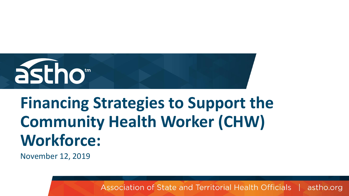

# **Financing Strategies to Support the Community Health Worker (CHW) Workforce:**

November 12, 2019

Association of State and Territorial Health Officials | astho.org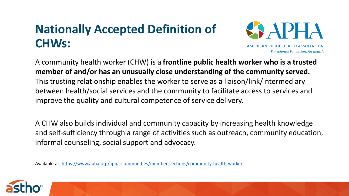# **Nationally Accepted Definition of CHWs:**



A community health worker (CHW) is a **frontline public health worker who is a trusted member of and/or has an unusually close understanding of the community served.**  This trusting relationship enables the worker to serve as a liaison/link/intermediary between health/social services and the community to facilitate access to services and improve the quality and cultural competence of service delivery.

A CHW also builds individual and community capacity by increasing health knowledge and self-sufficiency through a range of activities such as outreach, community education, informal counseling, social support and advocacy.

Available at:<https://www.apha.org/apha-communities/member-sections/community-health-workers>

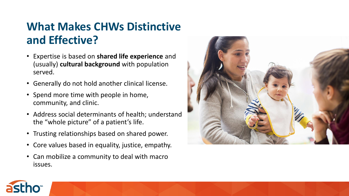### **What Makes CHWs Distinctive and Effective?**

- Expertise is based on **shared life experience** and (usually) **cultural background** with population served.
- Generally do not hold another clinical license.
- Spend more time with people in home, community, and clinic.
- Address social determinants of health; understand the "whole picture" of a patient's life.
- Trusting relationships based on shared power.
- Core values based in equality, justice, empathy.
- Can mobilize a community to deal with macro issues.



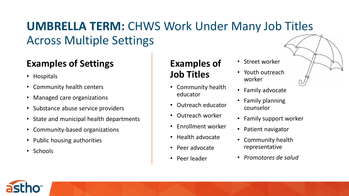## **UMBRELLA TERM:** CHWS Work Under Many Job Titles Across Multiple Settings

### **Examples of Settings**

- Hospitals
- Community health centers
- Managed care organizations
- Substance abuse service providers
- State and municipal health departments
- Community-based organizations
- Public housing authorities
- Schools

### **Examples of Job Titles**

- Community health educator
- Outreach educator
- Outreach worker
- Enrollment worker
- Health advocate
- Peer advocate
- Peer leader
- Street worker
- Youth outreach worker
- Family advocate
- Family planning counselor
- Family support worker
- Patient navigator
- Community health representative
- *Promotores de salud*

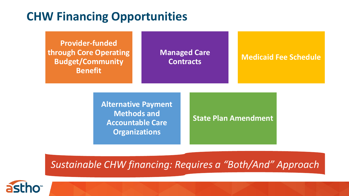### **CHW Financing Opportunities**

**Provider-funded through Core Operating Budget/Community Benefit**

# **Managed Care**

### **Contracts Medicaid Fee Schedule**

**Alternative Payment Methods and Accountable Care Organizations**

#### **State Plan Amendment**

*Sustainable CHW financing: Requires a "Both/And" Approach*

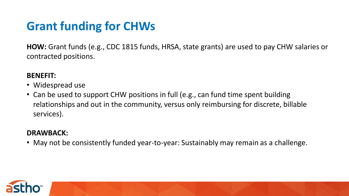# **Grant funding for CHWs**

**HOW:** Grant funds (e.g., CDC 1815 funds, HRSA, state grants) are used to pay CHW salaries or contracted positions.

#### **BENEFIT:**

- Widespread use
- Can be used to support CHW positions in full (e.g., can fund time spent building relationships and out in the community, versus only reimbursing for discrete, billable services).

#### **DRAWBACK:**

• May not be consistently funded year-to-year: Sustainably may remain as a challenge.

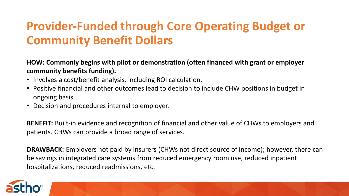### **Provider-Funded through Core Operating Budget or Community Benefit Dollars**

**HOW: Commonly begins with pilot or demonstration (often financed with grant or employer community benefits funding).**

- Involves a cost/benefit analysis, including ROI calculation.
- Positive financial and other outcomes lead to decision to include CHW positions in budget in ongoing basis.
- Decision and procedures internal to employer.

**BENEFIT:** Built-in evidence and recognition of financial and other value of CHWs to employers and patients. CHWs can provide a broad range of services.

**DRAWBACK:** Employers not paid by insurers (CHWs not direct source of income); however, there can be savings in integrated care systems from reduced emergency room use, reduced inpatient hospitalizations, reduced readmissions, etc.

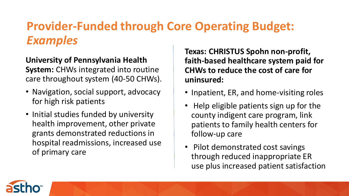### **Provider-Funded through Core Operating Budget:**  *Examples*

### **University of Pennsylvania Health System:** CHWs integrated into routine care throughout system (40-50 CHWs).

- Navigation, social support, advocacy for high risk patients
- Initial studies funded by university health improvement, other private grants demonstrated reductions in hospital readmissions, increased use of primary care

**Texas: CHRISTUS Spohn non-profit, faith-based healthcare system paid for CHWs to reduce the cost of care for uninsured:**

- Inpatient, ER, and home-visiting roles
- Help eligible patients sign up for the county indigent care program, link patients to family health centers for follow-up care
- Pilot demonstrated cost savings through reduced inappropriate ER use plus increased patient satisfaction

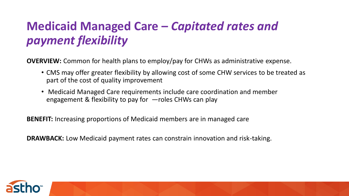## **Medicaid Managed Care –** *Capitated rates and payment flexibility*

**OVERVIEW:** Common for health plans to employ/pay for CHWs as administrative expense.

- CMS may offer greater flexibility by allowing cost of some CHW services to be treated as part of the cost of quality improvement
- Medicaid Managed Care requirements include care coordination and member engagement & flexibility to pay for —roles CHWs can play

**BENEFIT:** Increasing proportions of Medicaid members are in managed care

**DRAWBACK:** Low Medicaid payment rates can constrain innovation and risk-taking.

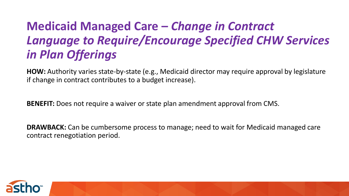## **Medicaid Managed Care –** *Change in Contract Language to Require/Encourage Specified CHW Services in Plan Offerings*

**HOW:** Authority varies state-by-state (e.g., Medicaid director may require approval by legislature if change in contract contributes to a budget increase).

**BENEFIT:** Does not require a waiver or state plan amendment approval from CMS.

**DRAWBACK:** Can be cumbersome process to manage; need to wait for Medicaid managed care contract renegotiation period.

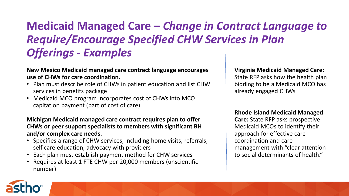### **Medicaid Managed Care –** *Change in Contract Language to Require/Encourage Specified CHW Services in Plan Offerings - Examples*

#### **New Mexico Medicaid managed care contract language encourages use of CHWs for care coordination.**

- Plan must describe role of CHWs in patient education and list CHW services in benefits package
- Medicaid MCO program incorporates cost of CHWs into MCO capitation payment (part of cost of care)

#### **Michigan Medicaid managed care contract requires plan to offer CHWs or peer support specialists to members with significant BH and/or complex care needs.**

- Specifies a range of CHW services, including home visits, referrals, self care education, advocacy with providers
- Each plan must establish payment method for CHW services
- Requires at least 1 FTE CHW per 20,000 members (unscientific number)

#### **Virginia Medicaid Managed Care:**

State RFP asks how the health plan bidding to be a Medicaid MCO has already engaged CHWs

#### **Rhode Island Medicaid Managed**

**Care:** State RFP asks prospective Medicaid MCOs to identify their approach for effective care coordination and care management with "clear attention to social determinants of health."

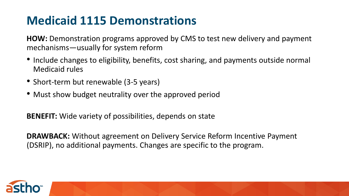### **Medicaid 1115 Demonstrations**

**HOW:** Demonstration programs approved by CMS to test new delivery and payment mechanisms—usually for system reform

- Include changes to eligibility, benefits, cost sharing, and payments outside normal Medicaid rules
- Short-term but renewable (3-5 years)
- Must show budget neutrality over the approved period

**BENEFIT:** Wide variety of possibilities, depends on state

**DRAWBACK:** Without agreement on Delivery Service Reform Incentive Payment (DSRIP), no additional payments. Changes are specific to the program.

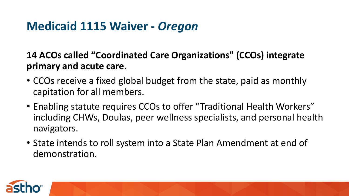### **Medicaid 1115 Waiver -** *Oregon*

**14 ACOs called "Coordinated Care Organizations" (CCOs) integrate primary and acute care.**

- CCOs receive a fixed global budget from the state, paid as monthly capitation for all members.
- Enabling statute requires CCOs to offer "Traditional Health Workers" including CHWs, Doulas, peer wellness specialists, and personal health navigators.
- State intends to roll system into a State Plan Amendment at end of demonstration.

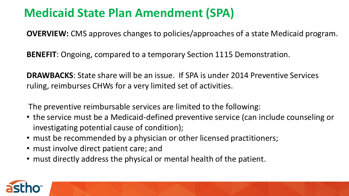### **Medicaid State Plan Amendment (SPA)**

**OVERVIEW:** CMS approves changes to policies/approaches of a state Medicaid program.

**BENEFIT**: Ongoing, compared to a temporary Section 1115 Demonstration.

**DRAWBACKS**: State share will be an issue. If SPA is under 2014 Preventive Services ruling, reimburses CHWs for a very limited set of activities.

The preventive reimbursable services are limited to the following:

- the service must be a Medicaid-defined preventive service (can include counseling or investigating potential cause of condition);
- must be recommended by a physician or other licensed practitioners;
- must involve direct patient care; and
- must directly address the physical or mental health of the patient.

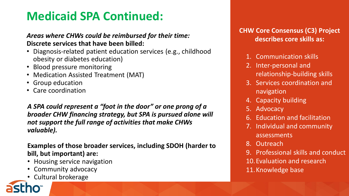### **Medicaid SPA Continued:**

#### *Areas where CHWs could be reimbursed for their time:* **Discrete services that have been billed:**

- Diagnosis-related patient education services (e.g., childhood obesity or diabetes education)
- Blood pressure monitoring
- Medication Assisted Treatment (MAT)
- Group education
- Care coordination

*A SPA could represent a "foot in the door" or one prong of a broader CHW financing strategy, but SPA is pursued alone will not support the full range of activities that make CHWs valuable).*

**Examples of those broader services, including SDOH (harder to bill, but important) are:**

- Housing service navigation
- Community advocacy
- Cultural brokerage

#### **CHW Core Consensus (C3) Project describes core skills as:**

- 1. Communication skills
- 2. Inter-personal and relationship-building skills
- 3. Services coordination and navigation
- 4. Capacity building
- 5. Advocacy
- 6. Education and facilitation
- 7. Individual and community assessments
- 8. Outreach
- 9. Professional skills and conduct
- 10.Evaluation and research
- 11.Knowledge base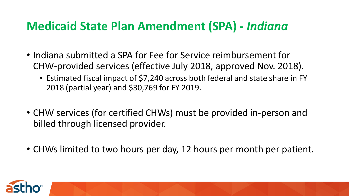### **Medicaid State Plan Amendment (SPA) -** *Indiana*

- Indiana submitted a SPA for Fee for Service reimbursement for CHW-provided services (effective July 2018, approved Nov. 2018).
	- Estimated fiscal impact of \$7,240 across both federal and state share in FY 2018 (partial year) and \$30,769 for FY 2019.
- CHW services (for certified CHWs) must be provided in-person and billed through licensed provider.
- CHWs limited to two hours per day, 12 hours per month per patient.

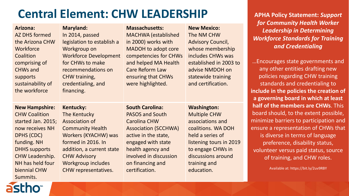### **Central Element: CHW LEADERSHIP**

| Arizona:<br>AZ DHS formed<br>the Arizona CHW<br>Workforce<br>Coalition<br>comprising of<br><b>CHWs and</b><br>supports<br>sustainability of<br>the workforce                                                          | <b>Maryland:</b><br>In 2014, passed<br>legislation to establish a<br>Workgroup on<br><b>Workforce Development</b><br>for CHWs to make<br>recommendations on<br>CHW training,<br>credentialing, and<br>financing.              | <b>Massachusetts:</b><br><b>MACHWA</b> (established<br>in 2000) works with<br><b>MADOH to adopt core</b><br>competencies for CHWs<br>and helped MA Health<br><b>Care Reform Law</b><br>ensuring that CHWs<br>were highlighted.            | <b>New Mexico:</b><br>The NM CHW<br><b>Advisory Council,</b><br>whose membership<br>includes CHWs was<br>established in 2003 to<br>advise NMDOH on<br>statewide training<br>and certification.              | for Community Health Worker<br><b>Leadership in Determining</b><br><b>Workforce Standards for Training</b><br>and Credentialing<br>Encourages state governments and<br>any other entities drafting new<br>policies regarding CHW training<br>standards and credentialing to<br>include in the policies the creation of<br>a governing board in which at least |
|-----------------------------------------------------------------------------------------------------------------------------------------------------------------------------------------------------------------------|-------------------------------------------------------------------------------------------------------------------------------------------------------------------------------------------------------------------------------|-------------------------------------------------------------------------------------------------------------------------------------------------------------------------------------------------------------------------------------------|-------------------------------------------------------------------------------------------------------------------------------------------------------------------------------------------------------------|---------------------------------------------------------------------------------------------------------------------------------------------------------------------------------------------------------------------------------------------------------------------------------------------------------------------------------------------------------------|
| <b>New Hampshire:</b><br><b>CHW Coalition</b><br>started Jan. 2015;<br>now receives NH<br><b>DPHS (CDC)</b><br>funding. NH<br><b>DHHS supports</b><br>CHW Leadership.<br>NH has held four<br>biennial CHW<br>Summits. | Kentucky:<br>The Kentucky<br><b>Association of</b><br><b>Community Health</b><br>Workers (KYACHW) was<br>formed in 2016. In<br>addition, a current state<br><b>CHW Advisory</b><br>Workgroup includes<br>CHW representatives. | <b>South Carolina:</b><br><b>PASOS and South</b><br><b>Carolina CHW</b><br><b>Association (SCCHWA)</b><br>active in the state,<br>engaged with state<br>health agency and<br>involved in discussion<br>on financing and<br>certification. | <b>Washington:</b><br><b>Multiple CHW</b><br>associations and<br>coalitions. WA DOH<br>held a series of<br>listening tours in 2019<br>to engage CHWs in<br>discussions around<br>training and<br>education. | half of the members are CHWs. This<br>board should, to the extent possible,<br>minimize barriers to participation and<br>ensure a representation of CHWs that<br>is diverse in terms of language<br>preference, disability status,<br>volunteer versus paid status, source<br>of training, and CHW roles.<br>Available at: https://bit.ly/2uv9RBY             |

**APHA Policy Statement:** *Support* 

# astho<sup>®</sup>